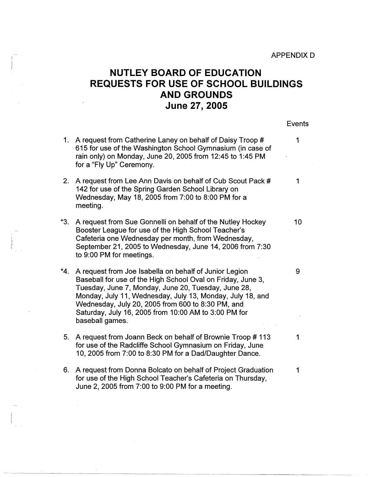## **NUTLEY BOARD OF EDUCATION REQUESTS FOR USE OF SCHOOL BUILDINGS AND GROUNDS June 27, 2005**

Events

- 1. A request from Catherine Laney on behalf of Daisy Troop # 1 2. A request from Lee Ann Davis on behalf of Cub Scout Pack # 1 **\*3.**  A request from Sue Gonnelli on behalf of the Nutley Hockey 10 \*4. A request from Joe Isabella on behalf of Junior Legion **9** 5. A request from Joann Beck on behalf of Brownie Troop # 113 1 615 for use of the Washington School Gymnasium (in case of rain only) on Monday, June 20, 2005 from 12:45 to 1 :45 PM for a "Fly Up" Ceremony. 142 for use of the Spring Garden School Library on Wednesday, May 18, 2005 from 7:00 to 8:00 PM for a meeting. Booster League for use of the High School Teacher's Cafeteria one Wednesday per month, from Wednesday, September 21, 2005 to Wednesday, June 14, 2006 from 7:30 to 9:00 PM for meetings. Baseball for use of the High School Oval on Friday, June 3, Tuesday, June 7, Monday, June 20, Tuesday, June 28, Monday, July 11, Wednesday, July 13, Monday, July 18, and Wednesday, July 20, 2005 from 600 to 8:30 PM, and Saturday, July 16, 2005 from 10:00 AM to 3:00 PM for baseball games. for use of the Radcliffe School Gymnasium on Friday, June 10, 2005 from 7:00 to 8:30 PM for a Dad/Daughter Dance.
- 6. A request from Donna Bolcato on behalf of Project Graduation 1 for use of the High School Teacher's Cafeteria on Thursday, June 2, 2005 from 7:00 to 9:00 PM for a meeting.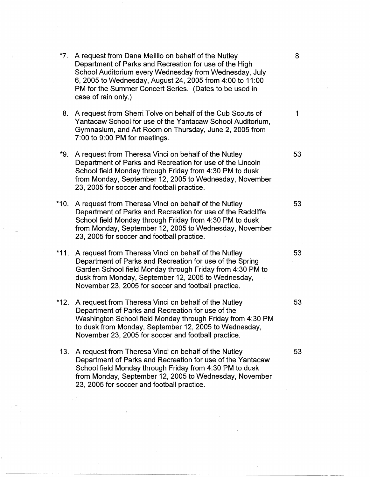| *7.   | A request from Dana Melillo on behalf of the Nutley<br>Department of Parks and Recreation for use of the High<br>School Auditorium every Wednesday from Wednesday, July<br>6, 2005 to Wednesday, August 24, 2005 from 4:00 to 11:00<br>PM for the Summer Concert Series. (Dates to be used in<br>case of rain only.) | 8  |
|-------|----------------------------------------------------------------------------------------------------------------------------------------------------------------------------------------------------------------------------------------------------------------------------------------------------------------------|----|
| 8.    | A request from Sherri Tolve on behalf of the Cub Scouts of<br>Yantacaw School for use of the Yantacaw School Auditorium,<br>Gymnasium, and Art Room on Thursday, June 2, 2005 from<br>7:00 to 9:00 PM for meetings.                                                                                                  | 1  |
| $*9.$ | A request from Theresa Vinci on behalf of the Nutley<br>Department of Parks and Recreation for use of the Lincoln<br>School field Monday through Friday from 4:30 PM to dusk<br>from Monday, September 12, 2005 to Wednesday, November<br>23, 2005 for soccer and football practice.                                 | 53 |
| *10.  | A request from Theresa Vinci on behalf of the Nutley<br>Department of Parks and Recreation for use of the Radcliffe<br>School field Monday through Friday from 4:30 PM to dusk<br>from Monday, September 12, 2005 to Wednesday, November<br>23, 2005 for soccer and football practice.                               | 53 |
| *11.  | A request from Theresa Vinci on behalf of the Nutley<br>Department of Parks and Recreation for use of the Spring<br>Garden School field Monday through Friday from 4:30 PM to<br>dusk from Monday, September 12, 2005 to Wednesday,<br>November 23, 2005 for soccer and football practice.                           | 53 |
| *12.  | A request from Theresa Vinci on behalf of the Nutley<br>Department of Parks and Recreation for use of the<br>Washington School field Monday through Friday from 4:30 PM<br>to dusk from Monday, September 12, 2005 to Wednesday,<br>November 23, 2005 for soccer and football practice.                              | 53 |
| 13.   | A request from Theresa Vinci on behalf of the Nutley<br>Department of Parks and Recreation for use of the Yantacaw<br>School field Monday through Friday from 4:30 PM to dusk<br>from Monday, September 12, 2005 to Wednesday, November<br>23, 2005 for soccer and football practice.                                | 53 |
|       |                                                                                                                                                                                                                                                                                                                      |    |

 $\mathcal{C}_{\mathcal{A}}$ 

 $\ddot{\phantom{1}}$